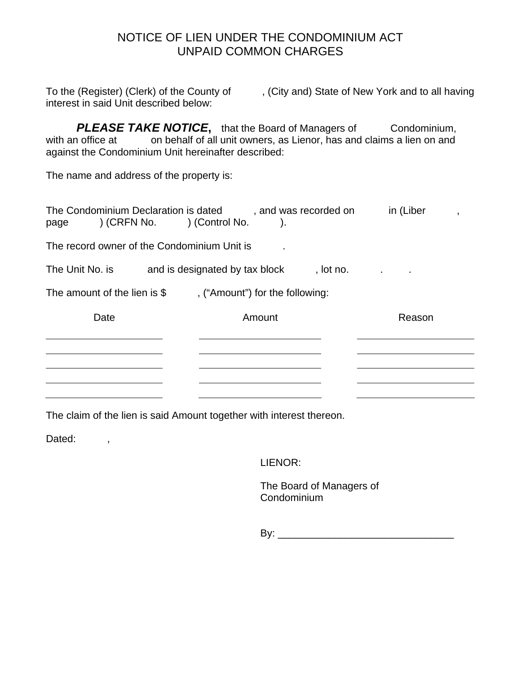# NOTICE OF LIEN UNDER THE CONDOMINIUM ACT UNPAID COMMON CHARGES

To the (Register) (Clerk) of the County of , (City and) State of New York and to all having interest in said Unit described below:

**PLEASE TAKE NOTICE,** that the Board of Managers of Condominium, with an office at on behalf of all unit owners, as Lienor, has and claims a lien on and against the Condominium Unit hereinafter described:

The name and address of the property is:

| page                                                            | The Condominium Declaration is dated and was recorded on<br>$(CRFN)$ (Control No. | in (Liber                                           |
|-----------------------------------------------------------------|-----------------------------------------------------------------------------------|-----------------------------------------------------|
| The record owner of the Condominium Unit is                     |                                                                                   |                                                     |
| The Unit No. is                                                 | and is designated by tax block                                                    | , lot no.<br><b>All Contracts</b><br>$\blacksquare$ |
| The amount of the lien is \$<br>, ("Amount") for the following: |                                                                                   |                                                     |
| Date                                                            | Amount                                                                            | Reason                                              |
|                                                                 |                                                                                   |                                                     |
|                                                                 |                                                                                   |                                                     |
|                                                                 |                                                                                   |                                                     |

The claim of the lien is said Amount together with interest thereon.

Dated: ,

LIENOR:

 The Board of Managers of Condominium

By: \_\_\_\_\_\_\_\_\_\_\_\_\_\_\_\_\_\_\_\_\_\_\_\_\_\_\_\_\_\_\_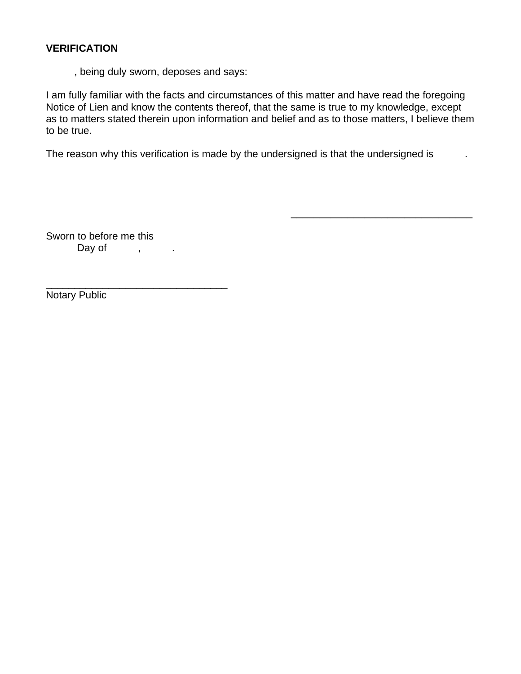## **VERIFICATION**

, being duly sworn, deposes and says:

I am fully familiar with the facts and circumstances of this matter and have read the foregoing Notice of Lien and know the contents thereof, that the same is true to my knowledge, except as to matters stated therein upon information and belief and as to those matters, I believe them to be true.

 $\overline{\phantom{a}}$  , which is a constant of the constant of the constant of the constant of the constant of the constant of the constant of the constant of the constant of the constant of the constant of the constant of the cons

The reason why this verification is made by the undersigned is that the undersigned is

Sworn to before me this Day of , the set of the set of the set of  $\mathcal{L}$ 

\_\_\_\_\_\_\_\_\_\_\_\_\_\_\_\_\_\_\_\_\_\_\_\_\_\_\_\_\_\_\_\_

Notary Public